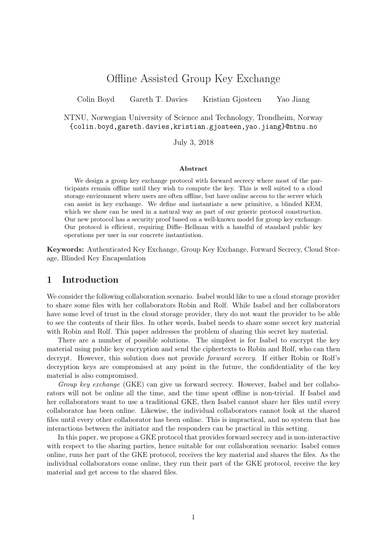# Offline Assisted Group Key Exchange

Colin Boyd Gareth T. Davies Kristian Gjøsteen Yao Jiang

NTNU, Norwegian University of Science and Technology, Trondheim, Norway {colin.boyd,gareth.davies,kristian.gjosteen,yao.jiang}@ntnu.no

July 3, 2018

#### Abstract

We design a group key exchange protocol with forward secrecy where most of the participants remain offline until they wish to compute the key. This is well suited to a cloud storage environment where users are often offline, but have online access to the server which can assist in key exchange. We define and instantiate a new primitive, a blinded KEM, which we show can be used in a natural way as part of our generic protocol construction. Our new protocol has a security proof based on a well-known model for group key exchange. Our protocol is efficient, requiring Diffie–Hellman with a handful of standard public key operations per user in our concrete instantiation.

Keywords: Authenticated Key Exchange, Group Key Exchange, Forward Secrecy, Cloud Storage, Blinded Key Encapsulation

# 1 Introduction

We consider the following collaboration scenario. Isabel would like to use a cloud storage provider to share some files with her collaborators Robin and Rolf. While Isabel and her collaborators have some level of trust in the cloud storage provider, they do not want the provider to be able to see the contents of their files. In other words, Isabel needs to share some secret key material with Robin and Rolf. This paper addresses the problem of sharing this secret key material.

There are a number of possible solutions. The simplest is for Isabel to encrypt the key material using public key encryption and send the ciphertexts to Robin and Rolf, who can then decrypt. However, this solution does not provide forward secrecy. If either Robin or Rolf's decryption keys are compromised at any point in the future, the confidentiality of the key material is also compromised.

Group key exchange (GKE) can give us forward secrecy. However, Isabel and her collaborators will not be online all the time, and the time spent offline is non-trivial. If Isabel and her collaborators want to use a traditional GKE, then Isabel cannot share her files until every collaborator has been online. Likewise, the individual collaborators cannot look at the shared files until every other collaborator has been online. This is impractical, and no system that has interactions between the initiator and the responders can be practical in this setting.

In this paper, we propose a GKE protocol that provides forward secrecy and is non-interactive with respect to the sharing parties, hence suitable for our collaboration scenario: Isabel comes online, runs her part of the GKE protocol, receives the key material and shares the files. As the individual collaborators come online, they run their part of the GKE protocol, receive the key material and get access to the shared files.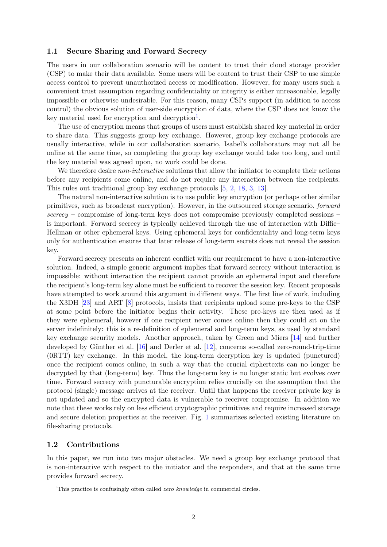### 1.1 Secure Sharing and Forward Secrecy

The users in our collaboration scenario will be content to trust their cloud storage provider (CSP) to make their data available. Some users will be content to trust their CSP to use simple access control to prevent unauthorized access or modification. However, for many users such a convenient trust assumption regarding confidentiality or integrity is either unreasonable, legally impossible or otherwise undesirable. For this reason, many CSPs support (in addition to access control) the obvious solution of user-side encryption of data, where the CSP does not know the key material used for encryption and decryption<sup>[1](#page-1-0)</sup>.

The use of encryption means that groups of users must establish shared key material in order to share data. This suggests group key exchange. However, group key exchange protocols are usually interactive, while in our collaboration scenario, Isabel's collaborators may not all be online at the same time, so completing the group key exchange would take too long, and until the key material was agreed upon, no work could be done.

We therefore desire *non-interactive* solutions that allow the initiator to complete their actions before any recipients come online, and do not require any interaction between the recipients. This rules out traditional group key exchange protocols [\[5,](#page-17-0) [2,](#page-17-1) [18,](#page-18-0) [3,](#page-17-2) [13\]](#page-18-1).

The natural non-interactive solution is to use public key encryption (or perhaps other similar primitives, such as broadcast encryption). However, in the outsourced storage scenario, forward secrecy – compromise of long-term keys does not compromise previously completed sessions – is important. Forward secrecy is typically achieved through the use of interaction with Diffie– Hellman or other ephemeral keys. Using ephemeral keys for confidentiality and long-term keys only for authentication ensures that later release of long-term secrets does not reveal the session key.

Forward secrecy presents an inherent conflict with our requirement to have a non-interactive solution. Indeed, a simple generic argument implies that forward secrecy without interaction is impossible: without interaction the recipient cannot provide an ephemeral input and therefore the recipient's long-term key alone must be sufficient to recover the session key. Recent proposals have attempted to work around this argument in different ways. The first line of work, including the X3DH [\[23\]](#page-18-2) and ART [\[8\]](#page-17-3) protocols, insists that recipients upload some pre-keys to the CSP at some point before the initiator begins their activity. These pre-keys are then used as if they were ephemeral, however if one recipient never comes online then they could sit on the server indefinitely: this is a re-definition of ephemeral and long-term keys, as used by standard key exchange security models. Another approach, taken by Green and Miers [\[14\]](#page-18-3) and further developed by Günther et al. [\[16\]](#page-18-4) and Derler et al. [\[12\]](#page-17-4), concerns so-called zero-round-trip-time (0RTT) key exchange. In this model, the long-term decryption key is updated (punctured) once the recipient comes online, in such a way that the crucial ciphertexts can no longer be decrypted by that (long-term) key. Thus the long-term key is no longer static but evolves over time. Forward secrecy with puncturable encryption relies crucially on the assumption that the protocol (single) message arrives at the receiver. Until that happens the receiver private key is not updated and so the encrypted data is vulnerable to receiver compromise. In addition we note that these works rely on less efficient cryptographic primitives and require increased storage and secure deletion properties at the receiver. Fig. [1](#page-2-0) summarizes selected existing literature on file-sharing protocols.

#### 1.2 Contributions

In this paper, we run into two major obstacles. We need a group key exchange protocol that is non-interactive with respect to the initiator and the responders, and that at the same time provides forward secrecy.

<span id="page-1-0"></span><sup>&</sup>lt;sup>1</sup>This practice is confusingly often called *zero knowledge* in commercial circles.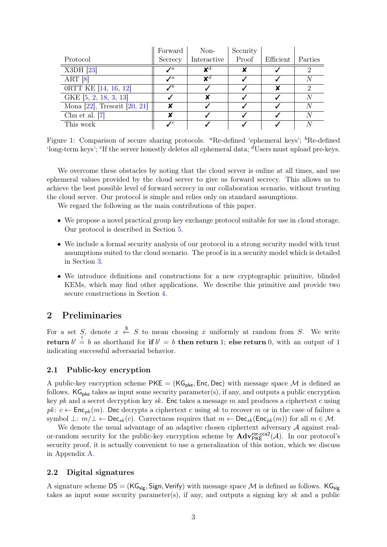<span id="page-2-0"></span>

|                                   | Forward         | Non-           | Security |           |         |
|-----------------------------------|-----------------|----------------|----------|-----------|---------|
| Protocol                          | Secrecy         | Interactive    | Proof    | Efficient | Parties |
| X3DH [23]                         | $J^a$           | $\mathbf{Y}^d$ |          |           |         |
| ART $[8]$                         | $\mathcal{J}^a$ | $\mathbf{x}^d$ |          |           |         |
| 0RTT KE [14, 16, 12]              |                 |                |          |           |         |
| GKE [5, 2, 18, 3, 13]             |                 |                |          |           |         |
| Mona $[22]$ , Tresorit $[20, 21]$ |                 |                |          |           | N       |
| Chu et al. $[7]$                  |                 |                |          |           | N       |
| This work                         | $\mathcal{L}^c$ |                |          |           |         |

Figure 1: Comparison of secure sharing protocols.  ${}^a$ Re-defined 'ephemeral keys';  ${}^b$ Re-defined 'long-term keys'; <sup>c</sup>If the server honestly deletes all ephemeral data;  $^d$ Users must upload pre-keys.

We overcome these obstacles by noting that the cloud server is online at all times, and use ephemeral values provided by the cloud server to give us forward secrecy. This allows us to achieve the best possible level of forward secrecy in our collaboration scenario, without trusting the cloud server. Our protocol is simple and relies only on standard assumptions.

We regard the following as the main contributions of this paper.

- We propose a novel practical group key exchange protocol suitable for use in cloud storage. Our protocol is described in Section [5.](#page-9-0)
- We include a formal security analysis of our protocol in a strong security model with trust assumptions suited to the cloud scenario. The proof is in a security model which is detailed in Section [3.](#page-4-0)
- We introduce definitions and constructions for a new cryptographic primitive, blinded KEMs, which may find other applications. We describe this primitive and provide two secure constructions in Section [4.](#page-6-0)

# 2 Preliminaries

For a set S, denote  $x \stackrel{\$}{\leftarrow} S$  to mean choosing x uniformly at random from S. We write return  $b' \stackrel{?}{=} b$  as shorthand for if  $b' = b$  then return 1; else return 0, with an output of 1 indicating successful adversarial behavior.

### 2.1 Public-key encryption

A public-key encryption scheme  $PKE = (KG_{\text{pke}}, Enc, Dec)$  with message space M is defined as follows.  $KG_{\text{pke}}$  takes as input some security parameter(s), if any, and outputs a public encryption key pk and a secret decryption key sk. Enc takes a message m and produces a ciphertext c using pk:  $c \leftarrow \mathsf{Enc}_{pk}(m)$ . Dec decrypts a ciphertext c using sk to recover m or in the case of failure a symbol  $\perp: m/\perp \leftarrow \mathsf{Dec}_{sk}(c)$ . Correctness requires that  $m \leftarrow \mathsf{Dec}_{sk}(\mathsf{Enc}_{pk}(m))$  for all  $m \in \mathcal{M}$ .

We denote the usual advantage of an adaptive chosen ciphertext adversary  $A$  against realor-random security for the public-key encryption scheme by  $\text{Adv}_{\text{PKE}}^{\text{ror-cca2}}(\mathcal{A})$ . In our protocol's security proof, it is actually convenient to use a generalization of this notion, which we discuss in Appendix [A.](#page-19-0)

## 2.2 Digital signatures

A signature scheme  $DS = (KG_{sig}, Sign, Verify)$  with message space M is defined as follows. KG<sub>sig</sub> takes as input some security parameter(s), if any, and outputs a signing key sk and a public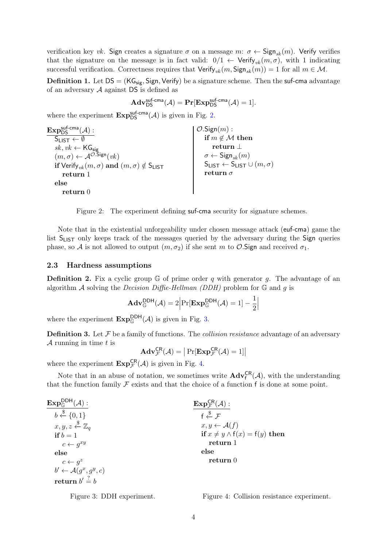verification key vk. Sign creates a signature  $\sigma$  on a message m:  $\sigma \leftarrow$  Sign<sub>sk</sub> $(m)$ . Verify verifies that the signature on the message is in fact valid:  $0/1 \leftarrow$  Verify<sub>vk</sub> $(m, \sigma)$ , with 1 indicating successful verification. Correctness requires that  $Verify_{ik}(m, Sign_{sk}(m)) = 1$  for all  $m \in \mathcal{M}$ .

**Definition 1.** Let  $DS = (KG_{sig}, Sign, Verify)$  be a signature scheme. Then the suf-cma advantage of an adversary A against DS is defined as

$$
\mathbf{Adv}_{\mathsf{DS}}^{\mathsf{suf-cma}}(\mathcal{A}) = \mathbf{Pr}[\mathbf{Exp}_{\mathsf{DS}}^{\mathsf{suf-cma}}(\mathcal{A}) = 1].
$$

where the experiment  $\mathbf{Exp}_{\mathsf{DS}}^{\mathsf{suf-cma}}(\mathcal{A})$  is given in Fig. [2.](#page-3-0)

 $\mathbf{Exp}_{\mathsf{DS}}^{\mathsf{suf-cma}}(\mathcal{A})$  :  $\mathsf{S_{LIST}} \leftarrow \emptyset$  $sk, vk \leftarrow {\sf KG}_{\mathsf{sig}}$  $(m, \sigma) \leftarrow \mathcal{A}^{\mathcal{O}.\mathsf{Sign}}(vk)$  $\operatorname{if}\operatorname{\sf Verify}_{vk}(m,\sigma) \textbf{ and } (m,\sigma) \notin \mathsf{S}_{\mathsf{LIST}}$ return 1 else return 0  $\mathcal{O}.\mathsf{Sign}(m)$  : if  $m \notin \mathcal{M}$  then return ⊥  $\sigma \leftarrow \mathsf{Sign}_{sk}(m)$  $\mathsf{S}_{\mathsf{LIST}} \leftarrow \mathsf{S}_{\mathsf{LIST}} \cup (m, \sigma)$  $return \sigma$ 

Figure 2: The experiment defining suf-cma security for signature schemes.

<span id="page-3-0"></span>Note that in the existential unforgeability under chosen message attack (euf-cma) game the list  $S_{LIST}$  only keeps track of the messages queried by the adversary during the Sign queries phase, so A is not allowed to output  $(m, \sigma_2)$  if she sent m to O.Sign and received  $\sigma_1$ .

#### 2.3 Hardness assumptions

**Definition 2.** Fix a cyclic group  $\mathbb{G}$  of prime order q with generator q. The advantage of an algorithm A solving the *Decision Diffie-Hellman (DDH)* problem for  $\mathbb{G}$  and g is

$$
\mathbf{Adv}_{\mathbb{G}}^{\mathsf{DDH}}(\mathcal{A}) = 2 \Big| \mathrm{Pr}[\mathbf{Exp}_{\mathbb{G}}^{\mathsf{DDH}}(\mathcal{A}) = 1] - \frac{1}{2} \Big|
$$

where the experiment  $\text{Exp}_{\mathbb{G}}^{\text{DDH}}(\mathcal{A})$  is given in Fig. [3.](#page-3-1)

**Definition 3.** Let  $\mathcal F$  be a family of functions. The *collision resistance* advantage of an adversary A running in time  $t$  is

$$
\mathbf{Adv}_{\mathcal{F}}^{\mathsf{CR}}(\mathcal{A}) = \left| \Pr[\mathbf{Exp}_{\mathcal{F}}^{\mathsf{CR}}(\mathcal{A}) = 1] \right|
$$

where the experiment  $\mathbf{Exp}_{\mathcal{F}}^{\mathsf{CR}}(\mathcal{A})$  is given in Fig. [4.](#page-3-2)

Note that in an abuse of notation, we sometimes write  $\mathbf{Adv}_{f}^{\mathsf{CR}}(\mathcal{A})$ , with the understanding that the function family  $\mathcal F$  exists and that the choice of a function f is done at some point.

 $\mathbf{Exp}_{\mathbb{G}}^{\mathsf{DDH}}(\mathcal{A})$  :  $b \stackrel{\$}{\leftarrow} \{0,1\}$  $x,y,z \overset{\$}{\leftarrow} \mathbb{Z}_q$ if  $b = 1$  $c \leftarrow g^{xy}$ else  $c \leftarrow g^z$  $b' \leftarrow \mathcal{A}(g^x, g^y, c)$  $\textbf{return } b' \overset{?}{=} b$  $\mathbf{Exp}^\mathsf{CR}_\mathcal{F}(\mathcal{A})$  :  $\mathsf{f} \overset{\$}{\leftarrow} \mathcal{F}$  $x, y \leftarrow \mathcal{A}(f)$ if  $x \neq y \wedge f(x) = f(y)$  then return 1 else return 0

<span id="page-3-1"></span>Figure 3: DDH experiment.

<span id="page-3-2"></span>Figure 4: Collision resistance experiment.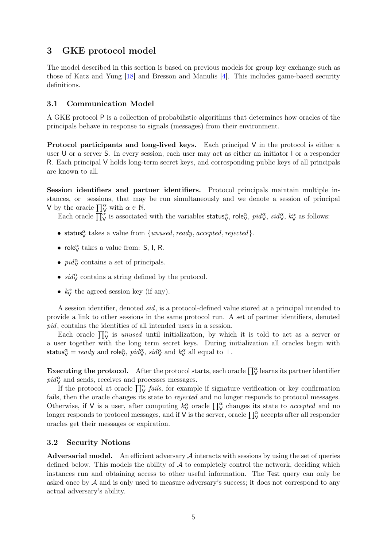# <span id="page-4-0"></span>3 GKE protocol model

The model described in this section is based on previous models for group key exchange such as those of Katz and Yung [\[18\]](#page-18-0) and Bresson and Manulis [\[4\]](#page-17-6). This includes game-based security definitions.

## 3.1 Communication Model

A GKE protocol P is a collection of probabilistic algorithms that determines how oracles of the principals behave in response to signals (messages) from their environment.

Protocol participants and long-lived keys. Each principal V in the protocol is either a user U or a server S. In every session, each user may act as either an initiator I or a responder R. Each principal V holds long-term secret keys, and corresponding public keys of all principals are known to all.

Session identifiers and partner identifiers. Protocol principals maintain multiple instances, or sessions, that may be run simultaneously and we denote a session of principal V by the oracle  $\prod_{V}^{\alpha}$  with  $\alpha \in \mathbb{N}$ .

Each oracle  $\prod_{\alpha}^{\alpha}$  is associated with the variables status<sub>V</sub>, role<sub>V</sub>,  $pid_{\mathsf{V}}^{\alpha}$ ,  $sid_{\mathsf{V}}^{\alpha}$ ,  $k_{\mathsf{V}}^{\alpha}$  as follows:

- status $^{\alpha}_{\text{V}}$  takes a value from  $\{unused, ready, accepted, rejected\}.$
- role $_V^\alpha$  takes a value from: S, I, R.
- $pid_V^{\alpha}$  contains a set of principals.
- $\bullet$   $\;sid^\alpha_{\mathsf{V}}$  contains a string defined by the protocol.
- $\bullet \; k^{\alpha}_{\mathsf{V}}$  the agreed session key (if any).

A session identifier, denoted sid, is a protocol-defined value stored at a principal intended to provide a link to other sessions in the same protocol run. A set of partner identifiers, denoted pid, contains the identities of all intended users in a session.

Each oracle  $\prod_{\alpha}^{\alpha}$  is *unused* until initialization, by which it is told to act as a server or a user together with the long term secret keys. During initialization all oracles begin with status $\alpha = ready$  and role $\alpha$ ,  $pid\alpha$ ,  $sid\alpha$  and  $k^{\alpha}_{\mathsf{V}}$  all equal to  $\bot$ .

**Executing the protocol.** After the protocol starts, each oracle  $\prod_{V}^{\alpha}$  learns its partner identifier  $pid^\alpha_{\rm V}$  and sends, receives and processes messages.

If the protocol at oracle  $\prod_{\mathsf{V}}^{\alpha}$  fails, for example if signature verification or key confirmation fails, then the oracle changes its state to rejected and no longer responds to protocol messages. Otherwise, if V is a user, after computing  $k_V^{\alpha}$  oracle  $\prod_V^{\alpha}$  changes its state to *accepted* and no longer responds to protocol messages, and if  $\vee$  is the server, oracle  $\prod_{\alpha}^{\alpha}$  accepts after all responder oracles get their messages or expiration.

### <span id="page-4-1"></span>3.2 Security Notions

Adversarial model. An efficient adversary  $A$  interacts with sessions by using the set of queries defined below. This models the ability of  $A$  to completely control the network, deciding which instances run and obtaining access to other useful information. The Test query can only be asked once by  $A$  and is only used to measure adversary's success; it does not correspond to any actual adversary's ability.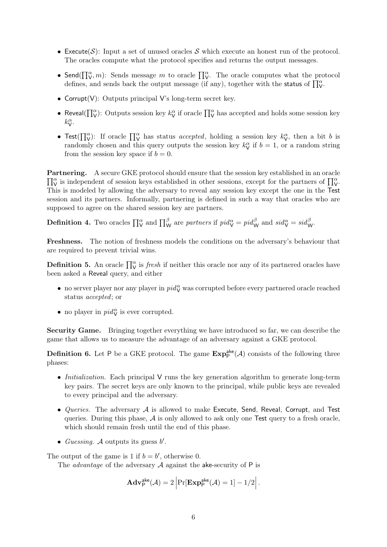- Execute  $(S)$ : Input a set of unused oracles S which execute an honest run of the protocol. The oracles compute what the protocol specifies and returns the output messages.
- Send( $\prod_{\nu}^{\alpha}$ , m): Sends message m to oracle  $\prod_{\nu}^{\alpha}$ . The oracle computes what the protocol defines, and sends back the output message (if any), together with the status of  $\overline{\prod}_{V}^{\alpha}$ .
- Corrupt(V): Outputs principal V's long-term secret key.
- Reveal( $\prod_{V}^{\alpha}$ ): Outputs session key  $k_{V}^{\alpha}$  if oracle  $\prod_{V}^{\alpha}$  has accepted and holds some session key  $k^{\alpha}_{\mathsf{V}}$ .
- Test( $\prod_{V}^{\alpha}$ ): If oracle  $\prod_{V}^{\alpha}$  has status *accepted*, holding a session key  $k_{V}^{\alpha}$ , then a bit b is randomly chosen and this query outputs the session key  $k<sub>V</sub><sup>\alpha</sup>$  if  $b = 1$ , or a random string from the session key space if  $b = 0$ .

Partnering. A secure GKE protocol should ensure that the session key established in an oracle  $\prod_{\alpha}^{\alpha}$  is independent of session keys established in other sessions, except for the partners of  $\prod_{\alpha}^{\alpha}$ . This is modeled by allowing the adversary to reveal any session key except the one in the Test session and its partners. Informally, partnering is defined in such a way that oracles who are supposed to agree on the shared session key are partners.

<span id="page-5-1"></span>**Definition 4.** Two oracles  $\prod_{V}^{\alpha}$  and  $\prod_{W}^{\beta}$  are partners if  $pid_{V}^{\alpha} = pid_{W}^{\beta}$  and  $sid_{V}^{\alpha} = sid_{W}^{\beta}$ .

Freshness. The notion of freshness models the conditions on the adversary's behaviour that are required to prevent trivial wins.

<span id="page-5-2"></span>**Definition 5.** An oracle  $\prod_{\mathsf{V}}^{\alpha}$  is *fresh* if neither this oracle nor any of its partnered oracles have been asked a Reveal query, and either

- $\bullet\,$  no server player nor any player in  $pid^\alpha_{\mathsf V}$  was corrupted before every partnered oracle reached status accepted; or
- no player in  $pid^{\alpha}_{\mathsf{V}}$  is ever corrupted.

Security Game. Bringing together everything we have introduced so far, we can describe the game that allows us to measure the advantage of an adversary against a GKE protocol.

<span id="page-5-0"></span>**Definition 6.** Let P be a GKE protocol. The game  $\text{Exp}_{P}^{\text{ake}}(\mathcal{A})$  consists of the following three phases:

- Initialization. Each principal  $V$  runs the key generation algorithm to generate long-term key pairs. The secret keys are only known to the principal, while public keys are revealed to every principal and the adversary.
- $Queries$ . The adversary  $A$  is allowed to make Execute, Send, Reveal, Corrupt, and Test queries. During this phase,  $A$  is only allowed to ask only one Test query to a fresh oracle, which should remain fresh until the end of this phase.
- Guessing. A outputs its guess  $b'$ .

The output of the game is 1 if  $b = b'$ , otherwise 0.

The *advantage* of the adversary  $A$  against the **ake-security** of  $P$  is

$$
\mathbf{Adv}_{\mathsf{P}}^{\mathsf{ake}}(\mathcal{A}) = 2 \left| \Pr[\mathbf{Exp}_{\mathsf{P}}^{\mathsf{ake}}(\mathcal{A}) = 1] - 1/2 \right|.
$$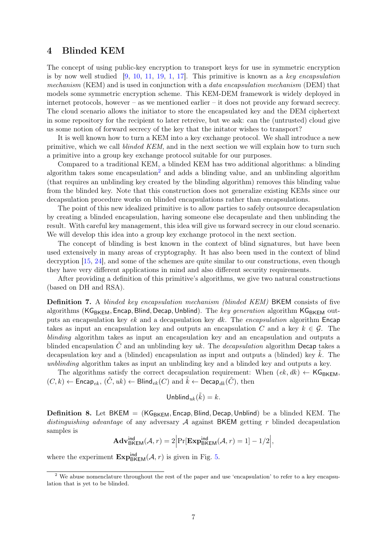## <span id="page-6-0"></span>4 Blinded KEM

The concept of using public-key encryption to transport keys for use in symmetric encryption is by now well studied  $[9, 10, 11, 19, 1, 17]$  $[9, 10, 11, 19, 1, 17]$  $[9, 10, 11, 19, 1, 17]$  $[9, 10, 11, 19, 1, 17]$  $[9, 10, 11, 19, 1, 17]$  $[9, 10, 11, 19, 1, 17]$  $[9, 10, 11, 19, 1, 17]$  $[9, 10, 11, 19, 1, 17]$  $[9, 10, 11, 19, 1, 17]$  $[9, 10, 11, 19, 1, 17]$  $[9, 10, 11, 19, 1, 17]$ . This primitive is known as a key encapsulation mechanism (KEM) and is used in conjunction with a *data encapsulation mechanism* (DEM) that models some symmetric encryption scheme. This KEM-DEM framework is widely deployed in internet protocols, however – as we mentioned earlier – it does not provide any forward secrecy. The cloud scenario allows the initiator to store the encapsulated key and the DEM ciphertext in some repository for the recipient to later retreive, but we ask: can the (untrusted) cloud give us some notion of forward secrecy of the key that the initator wishes to transport?

It is well known how to turn a KEM into a key exchange protocol. We shall introduce a new primitive, which we call *blinded KEM*, and in the next section we will explain how to turn such a primitive into a group key exchange protocol suitable for our purposes.

Compared to a traditional KEM, a blinded KEM has two additional algorithms: a blinding algorithm takes some encapsulation<sup>[2](#page-6-1)</sup> and adds a blinding value, and an unblinding algorithm (that requires an unblinding key created by the blinding algorithm) removes this blinding value from the blinded key. Note that this construction does not generalize existing KEMs since our decapsulation procedure works on blinded encapsulations rather than encapsulations.

The point of this new idealized primitive is to allow parties to safely outsource decapsulation by creating a blinded encapsulation, having someone else decapsulate and then unblinding the result. With careful key management, this idea will give us forward secrecy in our cloud scenario. We will develop this idea into a group key exchange protocol in the next section.

The concept of blinding is best known in the context of blind signatures, but have been used extensively in many areas of cryptography. It has also been used in the context of blind decryption [\[15,](#page-18-10) [24\]](#page-18-11), and some of the schemes are quite similar to our constructions, even though they have very different applications in mind and also different security requirements.

After providing a definition of this primitive's algorithms, we give two natural constructions (based on DH and RSA).

Definition 7. A blinded key encapsulation mechanism (blinded KEM) BKEM consists of five algorithms ( $KG_{BKEM}$ , Encap, Blind, Decap, Unblind). The key generation algorithm  $KG_{BKEM}$  outputs an encapsulation key  $ek$  and a decapsulation key  $dk$ . The encapsulation algorithm Encap takes as input an encapsulation key and outputs an encapsulation C and a key  $k \in \mathcal{G}$ . The blinding algorithm takes as input an encapsulation key and an encapsulation and outputs a blinded encapsulation  $\tilde{C}$  and an unblinding key uk. The *decapsulation* algorithm Decap takes a decapsulation key and a (blinded) encapsulation as input and outputs a (blinded) key  $k$ . The unblinding algorithm takes as input an unblinding key and a blinded key and outputs a key.

The algorithms satisfy the correct decapsulation requirement: When  $(ek, dk) \leftarrow \text{KG}_{\text{BKEM}}$ ,  $(C, k) \leftarrow$  Encap<sub>ek</sub>,  $(\tilde{C}, uk) \leftarrow$  Blind<sub>ek</sub> $(C)$  and  $\tilde{k} \leftarrow$  Decap<sub>dk</sub> $(\tilde{C})$ , then

$$
\mathsf{Unblind}_{uk}(\tilde{k}) = k.
$$

**Definition 8.** Let  $BKEM = (KG_{BKEM}, E_{DKEM}, B_{DKEM}, D_{DKEM})$  be a blinded KEM. The distinguishing advantage of any adversary  $A$  against BKEM getting r blinded decapsulation samples is

$$
\mathbf{Adv}_{\mathsf{BKEM}}^{\mathsf{ind}}(\mathcal{A}, r) = 2 \Big| \Pr[\mathbf{Exp}_{\mathsf{BKEM}}^{\mathsf{ind}}(\mathcal{A}, r) = 1] - 1/2 \Big|,
$$

where the experiment  $\mathbf{Exp}_{\mathsf{BKEM}}^{ind}(\mathcal{A}, r)$  is given in Fig. [5.](#page-7-0)

<span id="page-6-1"></span><sup>&</sup>lt;sup>2</sup> We abuse nomenclature throughout the rest of the paper and use 'encapsulation' to refer to a key encapsulation that is yet to be blinded.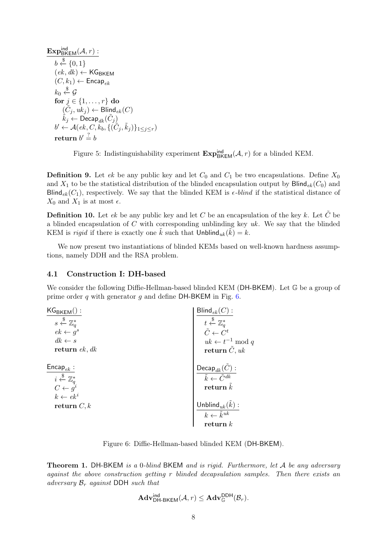$\mathbf{Exp}_{\mathsf{BKEM}}^{ind}(\mathcal{A}, r)$  :  $b \stackrel{\$}{\leftarrow} \{0,1\}$  $(ek, dk) \leftarrow$  KG<sub>BKEM</sub>  $(C, k_1) \leftarrow$  Encap<sub>ek</sub>  $k_0 \overset{\$}{\leftarrow} \mathcal{G}$ for  $j \in \{1, \ldots, r\}$  do  $(\tilde{C}_j, uk_j) \leftarrow \mathsf{Blind}_{ek}(C)$  $\tilde k_j \gets \tilde{\mathsf{Decap}}_{dk}(\tilde C_j)$  $b' \leftarrow \mathcal{A}(ek, C, k_b, \{(\tilde{C}_j, \tilde{k}_j)\}_{1 \leq j \leq r})$  $\textbf{return } b' \overset{?}{=} b$ 

<span id="page-7-0"></span>Figure 5: Indistinguishability experiment  $\mathbf{Exp}_{BKEM}^{ind}(\mathcal{A}, r)$  for a blinded KEM.

**Definition 9.** Let ek be any public key and let  $C_0$  and  $C_1$  be two encapsulations. Define  $X_0$ and  $X_1$  to be the statistical distribution of the blinded encapsulation output by Blind<sub>ek</sub> ( $C_0$ ) and Blind<sub>ek</sub>  $(C_1)$ , respectively. We say that the blinded KEM is  $\epsilon$ -blind if the statistical distance of  $X_0$  and  $X_1$  is at most  $\epsilon$ .

**Definition 10.** Let  $ek$  be any public key and let C be an encapsulation of the key k. Let C be a blinded encapsulation of  $C$  with corresponding unblinding key  $uk$ . We say that the blinded KEM is *rigid* if there is exactly one  $\tilde{k}$  such that  $\textsf{Unblind}_{uk}(\tilde{k}) = k$ .

We now present two instantiations of blinded KEMs based on well-known hardness assumptions, namely DDH and the RSA problem.

## <span id="page-7-3"></span>4.1 Construction I: DH-based

We consider the following Diffie-Hellman-based blinded KEM (DH-BKEM). Let G be a group of prime order q with generator q and define DH-BKEM in Fig.  $6$ .

| $KG_{BKEM}$ $):$                                                                                                | $\mathsf{Blind}_{ek}(C):$                                                                               |
|-----------------------------------------------------------------------------------------------------------------|---------------------------------------------------------------------------------------------------------|
| $s \stackrel{\$}{\leftarrow} \mathbb{Z}_q^*$                                                                    | $t \overset{\$}{\leftarrow} \mathbb{Z}_q^*$<br>$\tilde{C} \leftarrow C^t$                               |
| $ek \leftarrow g^s$                                                                                             |                                                                                                         |
| $dk \leftarrow s$                                                                                               | $uk \leftarrow t^{-1} \bmod q$                                                                          |
| return $ek, dk$                                                                                                 | return $\tilde{C}$ , uk                                                                                 |
| Encap $_{ek}$ :<br>$\begin{array}{c} i \stackrel{\$}{\leftarrow} \mathbb{Z}^*_q\\ C \leftarrow g^i \end{array}$ | $\frac{\mathsf{Decap}_{dk}(\tilde{C}) :}{\tilde{k} \leftarrow \tilde{C}^{dk}}$<br>return $\overline{k}$ |
| $k \leftarrow e k^i$                                                                                            |                                                                                                         |
| return $C, k$                                                                                                   | Unblind <sub>uk</sub> $(\tilde{k})$ :                                                                   |
|                                                                                                                 | $k \leftarrow \overline{\tilde{k}^{uk}}$                                                                |
|                                                                                                                 | return $k$                                                                                              |

Figure 6: Diffie-Hellman-based blinded KEM (DH-BKEM).

<span id="page-7-2"></span><span id="page-7-1"></span>**Theorem 1.** DH-BKEM is a 0-blind BKEM and is rigid. Furthermore, let  $A$  be any adversary against the above construction getting r blinded decapsulation samples. Then there exists an adversary  $\mathcal{B}_r$  against DDH such that

$$
\mathbf{Adv}_{\mathsf{DH-BKEM}}^{\mathsf{ind}}(\mathcal{A},r) \leq \mathbf{Adv}_{\mathbb{G}}^{\mathsf{DDH}}(\mathcal{B}_r).
$$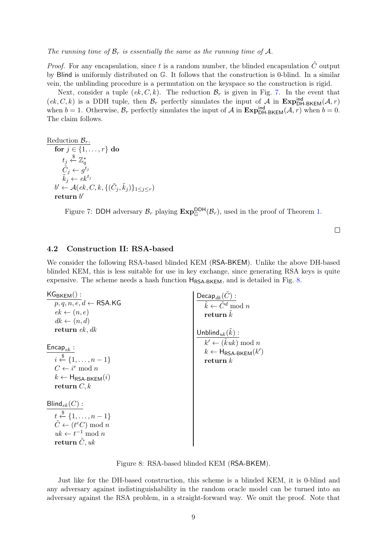The running time of  $\mathcal{B}_r$  is essentially the same as the running time of A.

*Proof.* For any encapsulation, since t is a random number, the blinded encapsulation  $\tilde{C}$  output by Blind is uniformly distributed on G. It follows that the construction is 0-blind. In a similar vein, the unblinding procedure is a permutation on the keyspace so the construction is rigid.

Next, consider a tuple  $(ek, C, k)$ . The reduction  $\mathcal{B}_r$  is given in Fig. [7.](#page-8-0) In the event that  $(ek, C, k)$  is a DDH tuple, then  $\mathcal{B}_r$  perfectly simulates the input of A in  $\mathbf{Exp}_{\mathsf{DH-BKEM}}^{\mathsf{ind}}(\mathcal{A}, r)$ when  $b = 1$ . Otherwise,  $\mathcal{B}_r$  perfectly simulates the input of A in  $\mathbf{Exp}_{\mathsf{DH-BKEM}}^{\mathsf{ind}}(\mathcal{A}, r)$  when  $b = 0$ . The claim follows.

Reduction  $\mathcal{B}_r$ . for  $j \in \{1, \ldots, r\}$  do  $t_j \overset{\$}{\leftarrow} \mathbb{Z}_q^* \ \tilde{C}_j \leftarrow g^{t_j}$  $\tilde{k}_j \leftarrow e k^{t_j}$  $b' \leftarrow \mathcal{A}(ek, C, k, \{(\tilde{C}_j, \tilde{k}_j)\}_{1 \leq j \leq r})$  $return b'$ 

<span id="page-8-0"></span>Figure 7: DDH adversary  $\mathcal{B}_r$  playing  $\text{Exp}_{\mathbb{G}}^{\text{DDH}}(\mathcal{B}_r)$ , used in the proof of Theorem [1.](#page-7-2)

 $\Box$ 

## 4.2 Construction II: RSA-based

We consider the following RSA-based blinded KEM (RSA-BKEM). Unlike the above DH-based blinded KEM, this is less suitable for use in key exchange, since generating RSA keys is quite expensive. The scheme needs a hash function  $H_{\text{RSA-BKEM}}$ , and is detailed in Fig. [8.](#page-8-1)

| $KG_{BKEM}$ $):$                                 | $\mathsf{Decap}_{dk}(C)$ :                            |
|--------------------------------------------------|-------------------------------------------------------|
| $p, q, n, e, d \leftarrow$ RSA.KG                | $\overline{\tilde{k} \leftarrow \tilde{C}^d \bmod n}$ |
| $ek \leftarrow (n, e)$                           | return $\vec{k}$                                      |
| $dk \leftarrow (n, d)$                           |                                                       |
| return $ek, dk$                                  | Unblind $_{uk}(\vec{k})$ :                            |
|                                                  | $\overline{k' \leftarrow (\tilde{k}uk)} \bmod n$      |
| Encap $_{ek}$ :                                  | $k \leftarrow H_{\text{RSA-BKEM}}(k')$                |
| $i \stackrel{\$}{\leftarrow} \{1, \ldots, n-1\}$ | return k                                              |
| $C \leftarrow i^e \mod n$                        |                                                       |
| $k \leftarrow H_{\text{RSA-BKEM}}(i)$            |                                                       |
| return $C, k$                                    |                                                       |
| $\mathsf{Blind}_{ek}(C):$                        |                                                       |
| $t \stackrel{\$}{\leftarrow} \{1, \ldots, n-1\}$ |                                                       |
| $\tilde{C} \leftarrow (t^eC) \bmod n$            |                                                       |
| $uk \leftarrow t^{-1} \mod n$                    |                                                       |
| return $C, uk$                                   |                                                       |

Figure 8: RSA-based blinded KEM (RSA-BKEM).

<span id="page-8-1"></span>Just like for the DH-based construction, this scheme is a blinded KEM, it is 0-blind and any adversary against indistinguishability in the random oracle model can be turned into an adversary against the RSA problem, in a straight-forward way. We omit the proof. Note that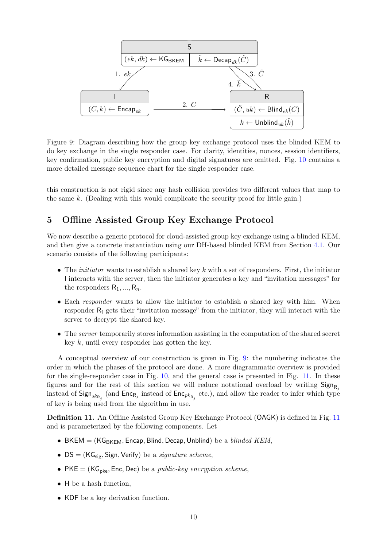<span id="page-9-1"></span>

Figure 9: Diagram describing how the group key exchange protocol uses the blinded KEM to do key exchange in the single responder case. For clarity, identities, nonces, session identifiers, key confirmation, public key encryption and digital signatures are omitted. Fig. [10](#page-10-0) contains a more detailed message sequence chart for the single responder case.

this construction is not rigid since any hash collision provides two different values that map to the same k. (Dealing with this would complicate the security proof for little gain.)

# <span id="page-9-0"></span>5 Offline Assisted Group Key Exchange Protocol

We now describe a generic protocol for cloud-assisted group key exchange using a blinded KEM, and then give a concrete instantiation using our DH-based blinded KEM from Section [4.1.](#page-7-3) Our scenario consists of the following participants:

- The *initiator* wants to establish a shared key  $k$  with a set of responders. First, the initiator I interacts with the server, then the initiator generates a key and "invitation messages" for the responders  $R_1, ..., R_n$ .
- Each responder wants to allow the initiator to establish a shared key with him. When responder  $R_i$  gets their "invitation message" from the initiator, they will interact with the server to decrypt the shared key.
- The server temporarily stores information assisting in the computation of the shared secret key  $k$ , until every responder has gotten the key.

A conceptual overview of our construction is given in Fig. [9:](#page-9-1) the numbering indicates the order in which the phases of the protocol are done. A more diagrammatic overview is provided for the single-responder case in Fig. [10,](#page-10-0) and the general case is presented in Fig. [11.](#page-12-0) In these figures and for the rest of this section we will reduce notational overload by writing  $Sign_{R_i}$ instead of  $\mathsf{Sign}_{sk_{R_j}}$  (and  $\mathsf{Enc}_{R_j}$  instead of  $\mathsf{Enc}_{pk_{R_j}}$  etc.), and allow the reader to infer which type of key is being used from the algorithm in use.

Definition 11. An Offline Assisted Group Key Exchange Protocol (OAGK) is defined in Fig. [11](#page-12-0) and is parameterized by the following components. Let

- BKEM  $=$  (KG<sub>BKEM</sub>, Encap, Blind, Decap, Unblind) be a *blinded KEM*,
- $DS = (KG_{\text{sig}}, Sign, Verify)$  be a *signature scheme*,
- PKE =  $(KG_{\text{oke}}, Enc, Dec)$  be a *public-key encryption scheme*,
- H be a hash function.
- KDF be a key derivation function.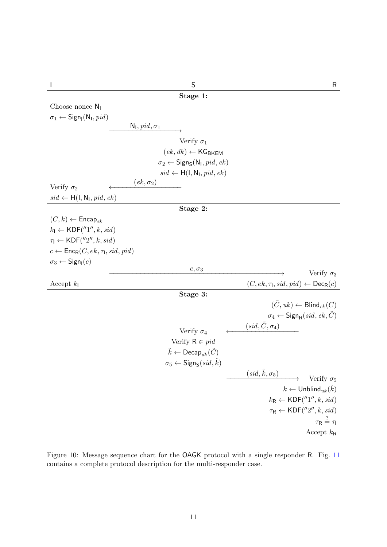I S R Stage 1: Choose nonce  $N_1$  $\sigma_1 \leftarrow$  Sign<sub>I</sub>(N<sub>I</sub>,  $pid)$  $\longrightarrow$   $\longrightarrow$ Verify  $\sigma_1$  $(ek, dk) \leftarrow \text{KG}_{\text{BKEM}}$  $\sigma_2 \leftarrow$  Sign<sub>S</sub>(N<sub>I</sub>,  $pid, ek$ )  $sid \leftarrow H(I, N_I, pid, ek)$ Verify  $\sigma_2$  $(ek, \sigma_2)$  $sid \leftarrow H(I, N_I, pid, ek)$ Stage 2:  $(C, k) \leftarrow$  Encap<sub>ek</sub>  $k_1 \leftarrow \mathsf{KDF}("1", k, sid)$  $\tau_1 \leftarrow \mathsf{KDF}("2", k, sid)$  $c \leftarrow {\sf Enc}_{\sf R}(C, ek, τ_1, sid, pid)$  $\sigma_3 \leftarrow$  Sign<sub>I</sub> $(c)$  $c, \sigma_3 \longrightarrow \text{Verify } \sigma_3$ Accept  $k_1$   $(C, ek, \tau_1, sid, pid) \leftarrow \mathsf{Dec}_{\mathsf{R}}(c)$ Stage 3:  $(\tilde{C}, uk) \leftarrow \mathsf{Blind}_{ek}(C)$  $\sigma_4 \leftarrow$  Sign<sub>R</sub> $(sid, ek, \tilde{C})$ Verify  $\sigma_4$  $\longleftarrow$  (sid,  $\tilde{C}$ ,  $\sigma_4$ ) Verify  $R \in pid$  $\tilde{k} \leftarrow \mathsf{Decap}_{dk}(\tilde{C})$  $\sigma_5 \leftarrow \mathsf{Sign}_\mathsf{S}(sid,\tilde{k})$  $(\mathit{sid}, \tilde{k}, \sigma_5)$ Verify  $\sigma_5$  $k \leftarrow \mathsf{Unblind}_{uk}(\tilde{k})$  $k_{\mathsf{R}} \leftarrow \mathsf{KDF}("1", k, sid)$  $\tau_R \leftarrow \mathsf{KDF}("2", k, sid)$  $\tau_{\mathsf{R}} \stackrel{?}{=} \tau_{\mathsf{I}}$ Accept  $k_{\mathsf{R}}$ 

<span id="page-10-0"></span>Figure 10: Message sequence chart for the OAGK protocol with a single responder R. Fig. [11](#page-12-0) contains a complete protocol description for the multi-responder case.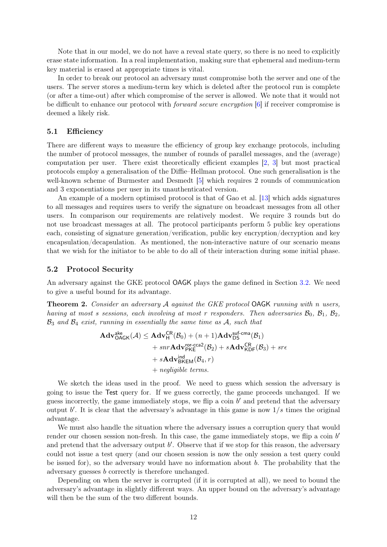Note that in our model, we do not have a reveal state query, so there is no need to explicitly erase state information. In a real implementation, making sure that ephemeral and medium-term key material is erased at appropriate times is vital.

In order to break our protocol an adversary must compromise both the server and one of the users. The server stores a medium-term key which is deleted after the protocol run is complete (or after a time-out) after which compromise of the server is allowed. We note that it would not be difficult to enhance our protocol with *forward secure encryption* [\[6\]](#page-17-11) if receiver compromise is deemed a likely risk.

#### 5.1 Efficiency

There are different ways to measure the efficiency of group key exchange protocols, including the number of protocol messages, the number of rounds of parallel messages, and the (average) computation per user. There exist theoretically efficient examples [\[2,](#page-17-1) [3\]](#page-17-2) but most practical protocols employ a generalisation of the Diffie–Hellman protocol. One such generalisation is the well-known scheme of Burmester and Desmedt [\[5\]](#page-17-0) which requires 2 rounds of communication and 3 exponentiations per user in its unauthenticated version.

An example of a modern optimised protocol is that of Gao et al. [\[13\]](#page-18-1) which adds signatures to all messages and requires users to verify the signature on broadcast messages from all other users. In comparison our requirements are relatively modest. We require 3 rounds but do not use broadcast messages at all. The protocol participants perform 5 public key operations each, consisting of signature generation/verification, public key encryption/decryption and key encapsulation/decapsulation. As mentioned, the non-interactive nature of our scenario means that we wish for the initiator to be able to do all of their interaction during some initial phase.

### 5.2 Protocol Security

An adversary against the GKE protocol OAGK plays the game defined in Section [3.2.](#page-4-1) We need to give a useful bound for its advantage.

<span id="page-11-0"></span>**Theorem 2.** Consider an adversary A against the GKE protocol **OAGK** running with n users, having at most s sessions, each involving at most r responders. Then adversaries  $\mathcal{B}_0$ ,  $\mathcal{B}_1$ ,  $\mathcal{B}_2$ ,  $\mathcal{B}_3$  and  $\mathcal{B}_4$  exist, running in essentially the same time as A, such that

$$
\mathbf{Adv}_{OAGK}^{ake}(\mathcal{A}) \leq \mathbf{Adv}_{H}^{CR}(\mathcal{B}_{0}) + (n+1)\mathbf{Adv}_{DS}^{suf-cma}(\mathcal{B}_{1})
$$
  
+ 
$$
snr\mathbf{Adv}_{PKE}^{tor-cca2}(\mathcal{B}_{2}) + s\mathbf{Adv}_{KDF}^{CR}(\mathcal{B}_{3}) + sre
$$
  
+ 
$$
s\mathbf{Adv}_{BKEM}^{ind}(\mathcal{B}_{4}, r)
$$
  
+ 
$$
negligible \ terms.
$$

We sketch the ideas used in the proof. We need to guess which session the adversary is going to issue the Test query for. If we guess correctly, the game proceeds unchanged. If we guess incorrectly, the game immediately stops, we flip a coin  $b'$  and pretend that the adversary output  $b'$ . It is clear that the adversary's advantage in this game is now  $1/s$  times the original advantage.

We must also handle the situation where the adversary issues a corruption query that would render our chosen session non-fresh. In this case, the game immediately stops, we flip a coin  $b'$ and pretend that the adversary output  $b'$ . Observe that if we stop for this reason, the adversary could not issue a test query (and our chosen session is now the only session a test query could be issued for), so the adversary would have no information about b. The probability that the adversary guesses b correctly is therefore unchanged.

Depending on when the server is corrupted (if it is corrupted at all), we need to bound the adversary's advantage in slightly different ways. An upper bound on the adversary's advantage will then be the sum of the two different bounds.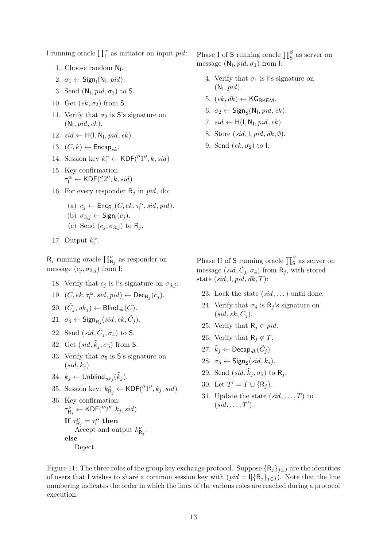I running oracle  $\prod_{\iota}^{\alpha}$  as initiator on input *pid*:

- 1. Choose random  $N<sub>1</sub>$ .
- 2.  $\sigma_1 \leftarrow$  Sign<sub>I</sub>(N<sub>I</sub>, pid).
- 3. Send  $(N_1, pid, \sigma_1)$  to S.
- 10. Get  $(ek, \sigma_2)$  from S.
- 11. Verify that  $\sigma_2$  is S's signature on  $(N_l, pid, ek).$
- 12.  $sid \leftarrow H(I, N_I, pid, ek)$ .
- <span id="page-12-2"></span>13.  $(C, k) \leftarrow$  Encap<sub>ek</sub>.
- 14. Session key  $k_{\parallel}^{\alpha} \leftarrow \text{KDF}("1", k, sid)$
- 15. Key confirmation:  $\tau_1^{\alpha} \leftarrow \text{KDF}("2", k, sid)$
- 16. For every responder  $R_i$  in pid, do:
	- (a)  $c_j \leftarrow \mathsf{Enc}_{\mathsf{R}_j}(C, ek, \tau_1^{\alpha}, sid, pid).$

(b) 
$$
\sigma_{3,j} \leftarrow \text{Sign}_{1}(c_{j}).
$$

(c) Send  $(c_i, \sigma_{3,i})$  to  $R_i$ .

17. Output  $k_{\mathsf{I}}^{\alpha}$ .

 $\mathsf{R}_j$  running oracle  $\prod_{\mathsf{R}_j}^{\nu}$  as responder on message  $(c_i, \sigma_{3,i})$  from I:

- 18. Verify that  $c_i$  is I's signature on  $\sigma_{3,i}$ .
- 19.  $(C, ek, \tau_{\mathsf{I}}^{\alpha}, sid, pid) \leftarrow \mathsf{Dec}_{\mathsf{R}_j}(c_j)$ .
- 20.  $(\tilde{C}_j, uk_j) \leftarrow \mathsf{Blind}_{ek}(C)$ .
- 21.  $\sigma_4 \leftarrow \mathsf{Sign}_{\mathsf{R}_j}(sid, ek, \tilde{C}_j).$
- 22. Send  $(sid, \tilde{C}_j, \sigma_4)$  to S.
- 32. Get  $(sid, \tilde{k}_j, \sigma_5)$  from S.
- 33. Verify that  $\sigma_5$  is S's signature on  $(sid, \tilde{k}_j).$
- <span id="page-12-1"></span>34.  $k_j \leftarrow \mathsf{Unblind}_{uk_j}(\tilde{k}_j)$ .
- 35. Session key:  $k_{\mathsf{R}_j}^{\nu} \leftarrow \mathsf{KDF}("1", k_j, sid)$

36. Key confirmation:  
\n
$$
\tau_{R_j}^{\nu} \leftarrow \text{KDF}("2'', k_j, sid)
$$
\nIf 
$$
\tau_{R_j}^{\nu} = \tau_1^{\alpha}
$$
 then  
\nAccept and output 
$$
k_{R_j}^{\nu}
$$
.  
\nelse  
\nReject.

Phase I of S running oracle  $\prod_{S}^{\beta}$  as server on message  $(N_1, pid, \sigma_1)$  from I:

- 4. Verify that  $\sigma_1$  is I's signature on  $(N_1, pid).$
- 5.  $(ek, dk) \leftarrow KG_{\text{BKEM}}$ .
- 6.  $\sigma_2 \leftarrow$  Sign<sub>S</sub>(N<sub>I</sub>, *pid*, *ek*).
- 7.  $sid \leftarrow H(I, N_I, pid, ek)$ .
- 8. Store  $(sid, l, pid, dk, \emptyset)$ .
- 9. Send  $(ek, \sigma_2)$  to l.

Phase II of S running oracle  $\prod_{s=1}^{\beta}$  as server on message  $(sid, \tilde{C}_j, \sigma_4)$  from  $R_j$ , with stored state  $(sid, \mathsf{I}, pid, dk, T)$ :

- 23. Lock the state  $(sid, \dots)$  until done.
- 24. Verify that  $\sigma_4$  is  $R_i$ 's signature on  $(sid, ek, \tilde{C}_j).$
- 25. Verify that  $R_i \in pid$ .
- 26. Verify that  $R_i \notin T$ .
- 27.  $\tilde{k}_j \leftarrow \mathsf{Decap}_{dk}(\tilde{C}_j).$
- 28.  $\sigma_5 \leftarrow$  Sign<sub>S</sub> $(sid, \tilde{k}_j)$ .
- 29. Send  $(sid, \tilde{k}_j, \sigma_5)$  to  $\mathsf{R}_j$ .
- 30. Let  $T' = T \cup \{R_j\}.$
- 31. Update the state  $(sid, \ldots, T)$  to  $(sid, \ldots, T').$

<span id="page-12-0"></span>Figure 11: The three roles of the group key exchange protocol. Suppose  $\{R_j\}_{j\in J}$  are the identities of users that I wishes to share a common session key with  $(pid = I | \{R_j\}_{j \in J})$ . Note that the line numbering indicates the order in which the lines of the various roles are reached during a protocol execution.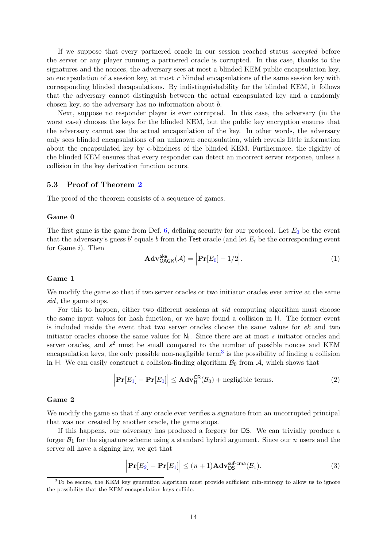If we suppose that every partnered oracle in our session reached status accepted before the server or any player running a partnered oracle is corrupted. In this case, thanks to the signatures and the nonces, the adversary sees at most a blinded KEM public encapsulation key, an encapsulation of a session key, at most  $r$  blinded encapsulations of the same session key with corresponding blinded decapsulations. By indistinguishability for the blinded KEM, it follows that the adversary cannot distinguish between the actual encapsulated key and a randomly chosen key, so the adversary has no information about b.

Next, suppose no responder player is ever corrupted. In this case, the adversary (in the worst case) chooses the keys for the blinded KEM, but the public key encryption ensures that the adversary cannot see the actual encapsulation of the key. In other words, the adversary only sees blinded encapsulations of an unknown encapsulation, which reveals little information about the encapsulated key by  $\epsilon$ -blindness of the blinded KEM. Furthermore, the rigidity of the blinded KEM ensures that every responder can detect an incorrect server response, unless a collision in the key derivation function occurs.

#### 5.3 Proof of Theorem [2](#page-11-0)

The proof of the theorem consists of a sequence of games.

#### <span id="page-13-0"></span>Game 0

The first game is the game from Def. [6,](#page-5-0) defining security for our protocol. Let  $E_0$  $E_0$  be the event that the adversary's guess  $b'$  equals b from the Test oracle (and let  $E_i$  be the corresponding event for Game  $i$ ). Then

<span id="page-13-4"></span>
$$
\mathbf{Adv}_{\mathsf{OAGK}}^{\mathsf{ake}}(\mathcal{A}) = \left| \mathbf{Pr}[E_0] - 1/2 \right|.
$$
 (1)

#### <span id="page-13-2"></span>Game 1

We modify the game so that if two server oracles or two initiator oracles ever arrive at the same sid, the game stops.

For this to happen, either two different sessions at sid computing algorithm must choose the same input values for hash function, or we have found a collision in H. The former event is included inside the event that two server oracles choose the same values for ek and two initiator oracles choose the same values for  $N<sub>1</sub>$ . Since there are at most s initiator oracles and server oracles, and  $s^2$  must be small compared to the number of possible nonces and KEM encapsulation keys, the only possible non-negligible term<sup>[3](#page-13-1)</sup> is the possibility of finding a collision in H. We can easily construct a collision-finding algorithm  $\mathcal{B}_0$  from  $\mathcal{A}$ , which shows that

$$
\left| \mathbf{Pr}[E_1] - \mathbf{Pr}[E_0] \right| \leq \mathbf{Adv}_{\mathsf{H}}^{\mathsf{CR}}(\mathcal{B}_0) + \text{negligible terms.}
$$
 (2)

#### <span id="page-13-3"></span>Game 2

We modify the game so that if any oracle ever verifies a signature from an uncorrupted principal that was not created by another oracle, the game stops.

If this happens, our adversary has produced a forgery for DS. We can trivially produce a forger  $\mathcal{B}_1$  for the signature scheme using a standard hybrid argument. Since our *n* users and the server all have a signing key, we get that

$$
\left|\mathbf{Pr}[E_2] - \mathbf{Pr}[E_1]\right| \le (n+1)\mathbf{Adv}_{\mathrm{DS}}^{\mathrm{suf-cma}}(\mathcal{B}_1). \tag{3}
$$

<span id="page-13-1"></span><sup>&</sup>lt;sup>3</sup>To be secure, the KEM key generation algorithm must provide sufficient min-entropy to allow us to ignore the possibility that the KEM encapsulation keys collide.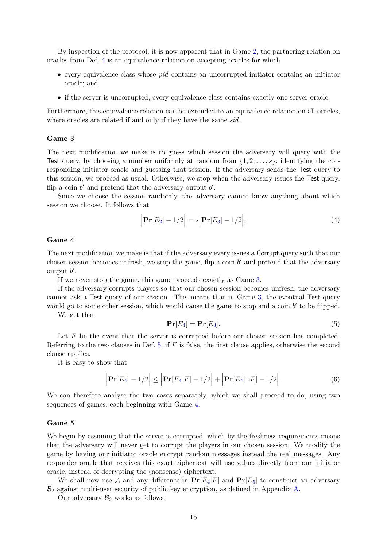By inspection of the protocol, it is now apparent that in Game [2,](#page-13-3) the partnering relation on oracles from Def. [4](#page-5-1) is an equivalence relation on accepting oracles for which

- $\bullet$  every equivalence class whose *pid* contains an uncorrupted initiator contains an initiator oracle; and
- if the server is uncorrupted, every equivalence class contains exactly one server oracle.

Furthermore, this equivalence relation can be extended to an equivalence relation on all oracles. where oracles are related if and only if they have the same sid.

## <span id="page-14-0"></span>Game 3

The next modification we make is to guess which session the adversary will query with the Test query, by choosing a number uniformly at random from  $\{1, 2, \ldots, s\}$ , identifying the corresponding initiator oracle and guessing that session. If the adversary sends the Test query to this session, we proceed as usual. Otherwise, we stop when the adversary issues the Test query, flip a coin  $b'$  and pretend that the adversary output  $b'$ .

Since we choose the session randomly, the adversary cannot know anything about which session we choose. It follows that

$$
\left| \mathbf{Pr}[E_2] - 1/2 \right| = s \left| \mathbf{Pr}[E_3] - 1/2 \right|.
$$
\n(4)

## <span id="page-14-1"></span>Game 4

The next modification we make is that if the adversary every issues a Corrupt query such that our chosen session becomes unfresh, we stop the game, flip a coin  $b'$  and pretend that the adversary output  $b'$ .

If we never stop the game, this game proceeds exactly as Game [3.](#page-14-0)

If the adversary corrupts players so that our chosen session becomes unfresh, the adversary cannot ask a Test query of our session. This means that in Game [3,](#page-14-0) the eventual Test query would go to some other session, which would cause the game to stop and a coin  $b'$  to be flipped.

We get that

$$
\mathbf{Pr}[E_4] = \mathbf{Pr}[E_3].\tag{5}
$$

Let  $F$  be the event that the server is corrupted before our chosen session has completed. Referring to the two clauses in Def. [5,](#page-5-2) if  $F$  is false, the first clause applies, otherwise the second clause applies.

It is easy to show that

<span id="page-14-3"></span>
$$
\left|\mathbf{Pr}[E_4] - 1/2\right| \le \left|\mathbf{Pr}[E_4|F] - 1/2\right| + \left|\mathbf{Pr}[E_4|\neg F] - 1/2\right|.
$$
\n(6)

We can therefore analyse the two cases separately, which we shall proceed to do, using two sequences of games, each beginning with Game [4.](#page-14-1)

#### <span id="page-14-2"></span>Game 5

We begin by assuming that the server is corrupted, which by the freshness requirements means that the adversary will never get to corrupt the players in our chosen session. We modify the game by having our initiator oracle encrypt random messages instead the real messages. Any responder oracle that receives this exact ciphertext will use values directly from our initiator oracle, instead of decrypting the (nonsense) ciphertext.

We shall now use A and any difference in  $Pr[E_4|F]$  $Pr[E_4|F]$  $Pr[E_4|F]$  and  $Pr[E_5]$  $Pr[E_5]$  $Pr[E_5]$  to construct an adversary  $\mathcal{B}_2$  against multi-user security of public key encryption, as defined in Appendix [A.](#page-19-0)

Our adversary  $B_2$  works as follows: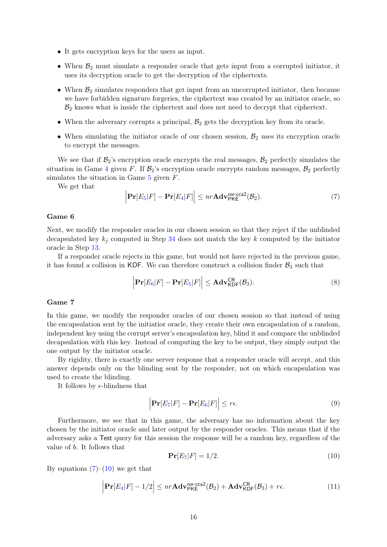- It gets encryption keys for the users as input.
- When  $\mathcal{B}_2$  must simulate a responder oracle that gets input from a corrupted initiator, it uses its decryption oracle to get the decryption of the ciphertexts.
- When  $\mathcal{B}_2$  simulates responders that get input from an uncorrupted initiator, then because we have forbidden signature forgeries, the ciphertext was created by an initiator oracle, so  $\mathcal{B}_2$  knows what is inside the ciphertext and does not need to decrypt that ciphertext.
- When the adversary corrupts a principal,  $\mathcal{B}_2$  gets the decryption key from its oracle.
- When simulating the initiator oracle of our chosen session,  $\mathcal{B}_2$  uses its encryption oracle to encrypt the messages.

We see that if  $\mathcal{B}_2$ 's encryption oracle encrypts the real messages,  $\mathcal{B}_2$  perfectly simulates the situation in Game [4](#page-14-1) given F. If  $B_2$ 's encryption oracle encrypts random messages,  $B_2$  perfectly simulates the situation in Game [5](#page-14-2) given F.

We get that

<span id="page-15-2"></span>
$$
\left| \mathbf{Pr}[E_5|F] - \mathbf{Pr}[E_4|F] \right| \le nr \mathbf{Adv}_{\mathsf{PKE}}^{\text{ror-cca2}}(\mathcal{B}_2). \tag{7}
$$

#### <span id="page-15-0"></span>Game 6

Next, we modify the responder oracles in our chosen session so that they reject if the unblinded decapsulated key  $k_j$  computed in Step [34](#page-12-1) does not match the key k computed by the initiator oracle in Step [13.](#page-12-2)

If a responder oracle rejects in this game, but would not have rejected in the previous game, it has found a collision in KDF. We can therefore construct a collision finder  $\mathcal{B}_3$  such that

$$
\left| \mathbf{Pr}[E_6|F] - \mathbf{Pr}[E_5|F] \right| \le \mathbf{Adv}_{\mathsf{KDF}}^{\mathsf{CR}}(\mathcal{B}_3). \tag{8}
$$

### <span id="page-15-1"></span>Game 7

In this game, we modify the responder oracles of our chosen session so that instead of using the encapsulation sent by the initiatior oracle, they create their own encapsulation of a random, independent key using the corrupt server's encapsulation key, blind it and compare the unblinded decapsulation with this key. Instead of computing the key to be output, they simply output the one output by the initiator oracle.

By rigidity, there is exactly one server response that a responder oracle will accept, and this answer depends only on the blinding sent by the responder, not on which encapsulation was used to create the blinding.

It follows by  $\epsilon$ -blindness that

$$
\left| \mathbf{Pr}[E_7|F] - \mathbf{Pr}[E_6|F] \right| \le r\epsilon. \tag{9}
$$

Furthermore, we see that in this game, the adversary has no information about the key chosen by the initiator oracle and later output by the responder oracles. This means that if the adversary asks a Test query for this session the response will be a random key, regardless of the value of b. It follows that

<span id="page-15-4"></span><span id="page-15-3"></span>
$$
\mathbf{Pr}[E_7|F] = 1/2. \tag{10}
$$

By equations  $(7)-(10)$  $(7)-(10)$  $(7)-(10)$  we get that

$$
\left| \mathbf{Pr}[E_4|F] - 1/2 \right| \le nr \mathbf{Adv}_{\mathsf{PKE}}^{\mathsf{ror-cca2}}(\mathcal{B}_2) + \mathbf{Adv}_{\mathsf{KDF}}^{\mathsf{CR}}(\mathcal{B}_3) + r\epsilon. \tag{11}
$$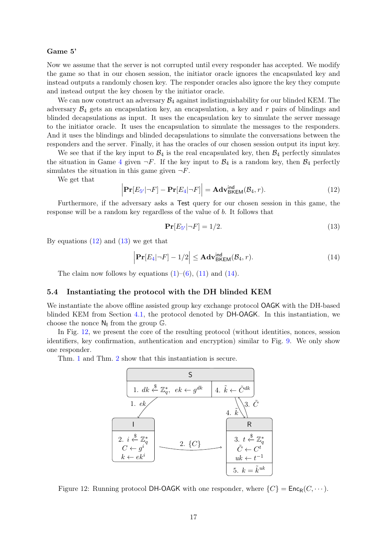#### <span id="page-16-0"></span>Game 5'

Now we assume that the server is not corrupted until every responder has accepted. We modify the game so that in our chosen session, the initiator oracle ignores the encapsulated key and instead outputs a randomly chosen key. The responder oracles also ignore the key they compute and instead output the key chosen by the initiator oracle.

We can now construct an adversary  $\mathcal{B}_4$  against indistinguishability for our blinded KEM. The adversary  $\mathcal{B}_4$  gets an encapsulation key, an encapsulation, a key and r pairs of blindings and blinded decapsulations as input. It uses the encapsulation key to simulate the server message to the initiator oracle. It uses the encapsulation to simulate the messages to the responders. And it uses the blindings and blinded decapsulations to simulate the conversations between the responders and the server. Finally, it has the oracles of our chosen session output its input key.

We see that if the key input to  $\mathcal{B}_4$  is the real encapsulated key, then  $\mathcal{B}_4$  perfectly simulates the situation in Game [4](#page-14-1) given  $\neg F$ . If the key input to  $\mathcal{B}_4$  is a random key, then  $\mathcal{B}_4$  perfectly simulates the situation in this game given  $\neg F$ .

We get that

<span id="page-16-1"></span>
$$
\left| \mathbf{Pr}[E_{5'}|\neg F] - \mathbf{Pr}[E_4|\neg F] \right| = \mathbf{Adv}_{\mathsf{BKEM}}^{\mathsf{ind}}(\mathcal{B}_4, r). \tag{12}
$$

Furthermore, if the adversary asks a Test query for our chosen session in this game, the response will be a random key regardless of the value of b. It follows that

<span id="page-16-3"></span><span id="page-16-2"></span>
$$
\mathbf{Pr}[E_{5'}|\neg F] = 1/2. \tag{13}
$$

By equations  $(12)$  and  $(13)$  we get that

$$
\left| \mathbf{Pr}[E_4|\neg F] - 1/2 \right| \le \mathbf{Adv}_{\mathsf{BKEM}}^{\mathsf{ind}}(\mathcal{B}_4, r). \tag{14}
$$

The claim now follows by equations  $(1)$ – $(6)$ ,  $(11)$  and  $(14)$ .

## 5.4 Instantiating the protocol with the DH blinded KEM

We instantiate the above offline assisted group key exchange protocol OAGK with the DH-based blinded KEM from Section [4.1,](#page-7-3) the protocol denoted by DH-OAGK. In this instantiation, we choose the nonce  $N_1$  from the group  $\mathbb{G}$ .

In Fig. [12,](#page-16-4) we present the core of the resulting protocol (without identities, nonces, session identifiers, key confirmation, authentication and encryption) similar to Fig. [9.](#page-9-1) We only show one responder.

Thm. [1](#page-7-2) and Thm. [2](#page-11-0) show that this instantiation is secure.

<span id="page-16-4"></span>

| S                                                                        |                                          |                                                 |
|--------------------------------------------------------------------------|------------------------------------------|-------------------------------------------------|
| 1. $dk \stackrel{\$}{\leftarrow} \mathbb{Z}_q^*,$ $ek \leftarrow g^{dk}$ | 4. $\tilde{k} \leftarrow \tilde{C}^{dk}$ |                                                 |
| 1. $ek$                                                                  | 1. $\tilde{k} \leftarrow \tilde{C}^{dk}$ |                                                 |
| 2. $i \stackrel{\$}{\leftarrow} \mathbb{Z}_q^*$                          | 2. $\{C\}$                               | 3. $t \stackrel{\$}{\leftarrow} \mathbb{Z}_q^*$ |
| $C \leftarrow g^i$                                                       | 2. $\{C\}$                               | 3. $t \stackrel{\$}{\leftarrow} \mathbb{Z}_q^*$ |
| $k \leftarrow ek^i$                                                      | 5. $k = \tilde{k}^{uk}$                  |                                                 |

Figure 12: Running protocol DH-OAGK with one responder, where  $\{C\} = \mathsf{Enc}_{R}(C, \dots)$ .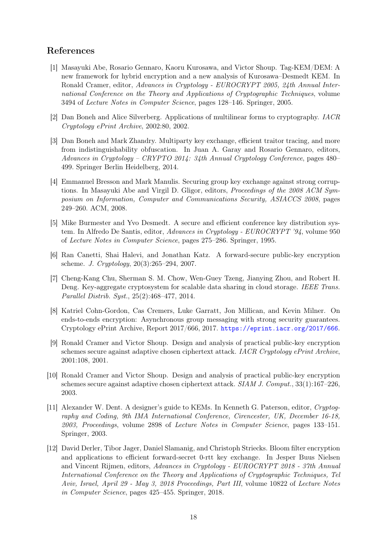# References

- <span id="page-17-10"></span>[1] Masayuki Abe, Rosario Gennaro, Kaoru Kurosawa, and Victor Shoup. Tag-KEM/DEM: A new framework for hybrid encryption and a new analysis of Kurosawa–Desmedt KEM. In Ronald Cramer, editor, Advances in Cryptology - EUROCRYPT 2005, 24th Annual International Conference on the Theory and Applications of Cryptographic Techniques, volume 3494 of Lecture Notes in Computer Science, pages 128–146. Springer, 2005.
- <span id="page-17-1"></span>[2] Dan Boneh and Alice Silverberg. Applications of multilinear forms to cryptography. IACR Cryptology ePrint Archive, 2002:80, 2002.
- <span id="page-17-2"></span>[3] Dan Boneh and Mark Zhandry. Multiparty key exchange, efficient traitor tracing, and more from indistinguishability obfuscation. In Juan A. Garay and Rosario Gennaro, editors, Advances in Cryptology – CRYPTO 2014: 34th Annual Cryptology Conference, pages 480– 499. Springer Berlin Heidelberg, 2014.
- <span id="page-17-6"></span>[4] Emmanuel Bresson and Mark Manulis. Securing group key exchange against strong corruptions. In Masayuki Abe and Virgil D. Gligor, editors, Proceedings of the 2008 ACM Symposium on Information, Computer and Communications Security, ASIACCS 2008, pages 249–260. ACM, 2008.
- <span id="page-17-0"></span>[5] Mike Burmester and Yvo Desmedt. A secure and efficient conference key distribution system. In Alfredo De Santis, editor, Advances in Cryptology - EUROCRYPT '94, volume 950 of Lecture Notes in Computer Science, pages 275–286. Springer, 1995.
- <span id="page-17-11"></span>[6] Ran Canetti, Shai Halevi, and Jonathan Katz. A forward-secure public-key encryption scheme. J. Cryptology, 20(3):265–294, 2007.
- <span id="page-17-5"></span>[7] Cheng-Kang Chu, Sherman S. M. Chow, Wen-Guey Tzeng, Jianying Zhou, and Robert H. Deng. Key-aggregate cryptosystem for scalable data sharing in cloud storage. IEEE Trans. Parallel Distrib. Syst., 25(2):468–477, 2014.
- <span id="page-17-3"></span>[8] Katriel Cohn-Gordon, Cas Cremers, Luke Garratt, Jon Millican, and Kevin Milner. On ends-to-ends encryption: Asynchronous group messaging with strong security guarantees. Cryptology ePrint Archive, Report 2017/666, 2017. <https://eprint.iacr.org/2017/666>.
- <span id="page-17-7"></span>[9] Ronald Cramer and Victor Shoup. Design and analysis of practical public-key encryption schemes secure against adaptive chosen ciphertext attack. IACR Cryptology ePrint Archive, 2001:108, 2001.
- <span id="page-17-8"></span>[10] Ronald Cramer and Victor Shoup. Design and analysis of practical public-key encryption schemes secure against adaptive chosen ciphertext attack. SIAM J. Comput., 33(1):167–226, 2003.
- <span id="page-17-9"></span>[11] Alexander W. Dent. A designer's guide to KEMs. In Kenneth G. Paterson, editor, Cryptography and Coding, 9th IMA International Conference, Cirencester, UK, December 16-18, 2003, Proceedings, volume 2898 of Lecture Notes in Computer Science, pages 133–151. Springer, 2003.
- <span id="page-17-4"></span>[12] David Derler, Tibor Jager, Daniel Slamanig, and Christoph Striecks. Bloom filter encryption and applications to efficient forward-secret 0-rtt key exchange. In Jesper Buus Nielsen and Vincent Rijmen, editors, Advances in Cryptology - EUROCRYPT 2018 - 37th Annual International Conference on the Theory and Applications of Cryptographic Techniques, Tel Aviv, Israel, April 29 - May 3, 2018 Proceedings, Part III, volume 10822 of Lecture Notes in Computer Science, pages 425–455. Springer, 2018.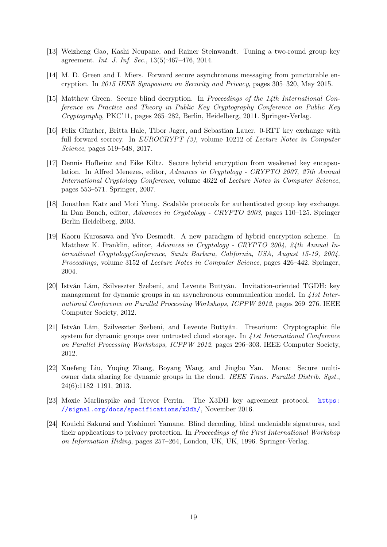- <span id="page-18-1"></span>[13] Weizheng Gao, Kashi Neupane, and Rainer Steinwandt. Tuning a two-round group key agreement. Int. J. Inf. Sec., 13(5):467–476, 2014.
- <span id="page-18-3"></span>[14] M. D. Green and I. Miers. Forward secure asynchronous messaging from puncturable encryption. In 2015 IEEE Symposium on Security and Privacy, pages 305–320, May 2015.
- <span id="page-18-10"></span>[15] Matthew Green. Secure blind decryption. In Proceedings of the 14th International Conference on Practice and Theory in Public Key Cryptography Conference on Public Key Cryptography, PKC'11, pages 265–282, Berlin, Heidelberg, 2011. Springer-Verlag.
- <span id="page-18-4"></span>[16] Felix Günther, Britta Hale, Tibor Jager, and Sebastian Lauer. 0-RTT key exchange with full forward secrecy. In EUROCRYPT (3), volume 10212 of Lecture Notes in Computer Science, pages 519–548, 2017.
- <span id="page-18-9"></span>[17] Dennis Hofheinz and Eike Kiltz. Secure hybrid encryption from weakened key encapsulation. In Alfred Menezes, editor, Advances in Cryptology - CRYPTO 2007, 27th Annual International Cryptology Conference, volume 4622 of Lecture Notes in Computer Science, pages 553–571. Springer, 2007.
- <span id="page-18-0"></span>[18] Jonathan Katz and Moti Yung. Scalable protocols for authenticated group key exchange. In Dan Boneh, editor, Advances in Cryptology - CRYPTO 2003, pages 110–125. Springer Berlin Heidelberg, 2003.
- <span id="page-18-8"></span>[19] Kaoru Kurosawa and Yvo Desmedt. A new paradigm of hybrid encryption scheme. In Matthew K. Franklin, editor, Advances in Cryptology - CRYPTO 2004, 24th Annual International CryptologyConference, Santa Barbara, California, USA, August 15-19, 2004, Proceedings, volume 3152 of Lecture Notes in Computer Science, pages 426–442. Springer, 2004.
- <span id="page-18-6"></span>[20] István Lám, Szilveszter Szebeni, and Levente Buttyán. Invitation-oriented TGDH: key management for dynamic groups in an asynchronous communication model. In 41st International Conference on Parallel Processing Workshops, ICPPW 2012, pages 269–276. IEEE Computer Society, 2012.
- <span id="page-18-7"></span>[21] István Lám, Szilveszter Szebeni, and Levente Buttyán. Tresorium: Cryptographic file system for dynamic groups over untrusted cloud storage. In 41st International Conference on Parallel Processing Workshops, ICPPW 2012, pages 296–303. IEEE Computer Society, 2012.
- <span id="page-18-5"></span>[22] Xuefeng Liu, Yuqing Zhang, Boyang Wang, and Jingbo Yan. Mona: Secure multiowner data sharing for dynamic groups in the cloud. IEEE Trans. Parallel Distrib. Syst., 24(6):1182–1191, 2013.
- <span id="page-18-2"></span>[23] Moxie Marlinspike and Trevor Perrin. The X3DH key agreement protocol. [https:](https://signal.org/docs/specifications/x3dh/) [//signal.org/docs/specifications/x3dh/](https://signal.org/docs/specifications/x3dh/), November 2016.
- <span id="page-18-11"></span>[24] Kouichi Sakurai and Yoshinori Yamane. Blind decoding, blind undeniable signatures, and their applications to privacy protection. In Proceedings of the First International Workshop on Information Hiding, pages 257–264, London, UK, UK, 1996. Springer-Verlag.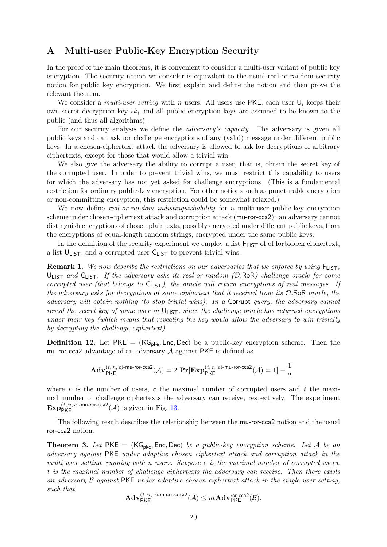# <span id="page-19-0"></span>A Multi-user Public-Key Encryption Security

In the proof of the main theorems, it is convenient to consider a multi-user variant of public key encryption. The security notion we consider is equivalent to the usual real-or-random security notion for public key encryption. We first explain and define the notion and then prove the relevant theorem.

We consider a *multi-user setting* with *n* users. All users use PKE, each user  $U_i$  keeps their own secret decryption key  $sk_i$  and all public encryption keys are assumed to be known to the public (and thus all algorithms).

For our security analysis we define the *adversary's capacity*. The adversary is given all public keys and can ask for challenge encryptions of any (valid) message under different public keys. In a chosen-ciphertext attack the adversary is allowed to ask for decryptions of arbitrary ciphertexts, except for those that would allow a trivial win.

We also give the adversary the ability to corrupt a user, that is, obtain the secret key of the corrupted user. In order to prevent trivial wins, we must restrict this capability to users for which the adversary has not yet asked for challenge encryptions. (This is a fundamental restriction for ordinary public-key encryption. For other notions such as puncturable encryption or non-committing encryption, this restriction could be somewhat relaxed.)

We now define *real-or-random indistinguishability* for a multi-user public-key encryption scheme under chosen-ciphertext attack and corruption attack (mu-ror-cca2): an adversary cannot distinguish encryptions of chosen plaintexts, possibly encrypted under different public keys, from the encryptions of equal-length random strings, encrypted under the same public keys.

In the definition of the security experiment we employ a list  $F_{L|ST}$  of of forbidden ciphertext, a list  $U_{LIST}$ , and a corrupted user  $C_{LIST}$  to prevent trivial wins.

**Remark 1.** We now describe the restrictions on our adversaries that we enforce by using  $F_{\text{LIST}}$ ,  $U_{LIST}$  and  $C_{LIST}$ . If the adversary asks its real-or-random (O.RoR) challenge oracle for some corrupted user (that belongs to  $C_{L|ST}$ ), the oracle will return encryptions of real messages. If the adversary asks for decryptions of some ciphertext that it received from its O.RoR oracle, the adversary will obtain nothing (to stop trivial wins). In a Corrupt query, the adversary cannot reveal the secret key of some user in  $U_{LIST}$ , since the challenge oracle has returned encryptions under their key (which means that revealing the key would allow the adversary to win trivially by decrypting the challenge ciphertext).

**Definition 12.** Let  $PKE = (KG_{pke}, Enc, Dec)$  be a public-key encryption scheme. Then the mu-ror-cca2 advantage of an adversary  $A$  against PKE is defined as

$$
\mathbf{Adv}_{\mathsf{PKE}}^{(t, n, c)\text{-}\mathsf{mu}\text{-}\mathsf{ror}\text{-}\mathsf{cca2}}(\mathcal{A}) = 2\bigg|\mathbf{Pr}[\mathbf{Exp}_{\mathsf{PKE}}^{(t, n, c)\text{-}\mathsf{mu}\text{-}\mathsf{ror}\text{-}\mathsf{cca2}}(\mathcal{A}) = 1] - \frac{1}{2}\bigg|.
$$

where  $n$  is the number of users,  $c$  the maximal number of corrupted users and  $t$  the maximal number of challenge ciphertexts the adversary can receive, respectively. The experiment  $\mathbf{Exp}_{\mathsf{PKE}}^{(t, n, c)$ -mu-ror-cca2 $(\mathcal{A})$  is given in Fig. [13.](#page-20-0)

The following result describes the relationship between the mu-ror-cca2 notion and the usual ror-cca2 notion.

<span id="page-19-1"></span>**Theorem 3.** Let PKE =  $(KG_{\text{pke}}, Enc, Dec)$  be a public-key encryption scheme. Let A be an adversary against PKE under adaptive chosen ciphertext attack and corruption attack in the multi user setting, running with n users. Suppose c is the maximal number of corrupted users, t is the maximal number of challenge ciphertexts the adversary can receive. Then there exists an adversary  $\beta$  against PKE under adaptive chosen ciphertext attack in the single user setting, such that

$$
\mathbf{Adv}_{\mathsf{PKE}}^{(t, n, c)\text{-mu-ror-cca2}}(\mathcal{A}) \leq nt\mathbf{Adv}_{\mathsf{PKE}}^{\mathsf{ror-cca2}}(\mathcal{B}).
$$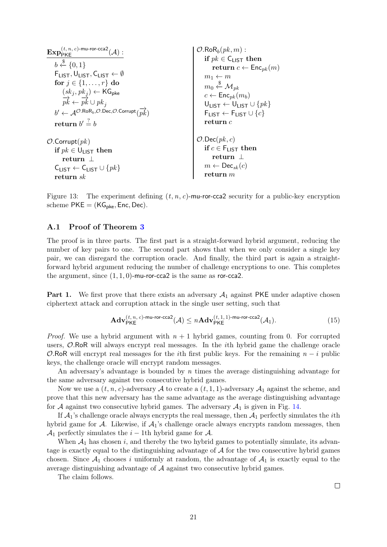| Exp <sub>PRE</sub>                                                  | Exp <sub>PRE</sub>                                                                   |                                                                                   |
|---------------------------------------------------------------------|--------------------------------------------------------------------------------------|-----------------------------------------------------------------------------------|
| $b \leftarrow \{0, 1\}$                                             | $\text{f } \{E_{\text{LIST}}, U_{\text{LIST}}, C_{\text{LIST}} \leftarrow \emptyset$ | $\text{if } pk \in C_{\text{LIST}}$ then return $c \leftarrow \text{Enc}_{pk}(m)$ |
| $\text{for } j \in \{1, ..., r\}$ do                                | $(sk_j, pk_j) \leftarrow \text{KG}_{\text{pke}}$                                     | $m_1 \leftarrow m$                                                                |
| $pk \leftarrow pk \cup pk$                                          | $m_2 \leftarrow M_{pk}$                                                              |                                                                                   |
| $b' \leftarrow A^{O.RoR_b, O.Dec, O.Corrupt} (\overrightarrow{pk})$ | $\text{U}_{\text{LIST}} \leftarrow \text{U}_{\text{LIST}} \cup \{pk\}$               |                                                                                   |
| $\text{return } b' \stackrel{?}{=} b$                               | $\text{return } c$                                                                   |                                                                                   |
| $\text{O.Corrupt}(pk)$                                              | $\text{if } pk \in \text{U}_{\text{LIST}}$ then return $c$                           |                                                                                   |
| $\text{C.Corrupt}(pk)$                                              | $\text{if } ck \in \text{FlIST}$ then return $c$                                     |                                                                                   |
| $\text{C.LIST} \leftarrow \text{ClIST}$ then return $\perp$         | $\text{C.LIST} \leftarrow \text{ClIST}$ then return $\perp$                          |                                                                                   |
| $\text{C.LIST} \leftarrow \text{ClIST} \cup \{pk\}$                 | $m \leftarrow \text{Dec}_{sk}(c)$                                                    |                                                                                   |
| $\text{return } sk$                                                 | $m \leftarrow \text{Dec}_{sk}(c)$                                                    |                                                                                   |

<span id="page-20-0"></span>Figure 13: The experiment defining  $(t, n, c)$ -mu-ror-cca2 security for a public-key encryption scheme  $PKE = (KG_{\text{pke}}, Enc, Dec)$ .

## A.1 Proof of Theorem [3](#page-19-1)

The proof is in three parts. The first part is a straight-forward hybrid argument, reducing the number of key pairs to one. The second part shows that when we only consider a single key pair, we can disregard the corruption oracle. And finally, the third part is again a straightforward hybrid argument reducing the number of challenge encryptions to one. This completes the argument, since  $(1, 1, 0)$ -mu-ror-cca2 is the same as ror-cca2.

**Part 1.** We first prove that there exists an adversary  $A_1$  against PKE under adaptive chosen ciphertext attack and corruption attack in the single user setting, such that

<span id="page-20-1"></span>
$$
\mathbf{Adv}_{\mathsf{PKE}}^{(t, n, c)\text{-mu-ror-cca2}}(\mathcal{A}) \le n\mathbf{Adv}_{\mathsf{PKE}}^{(t, 1, 1)\text{-mu-ror-cca2}}(\mathcal{A}_1). \tag{15}
$$

*Proof.* We use a hybrid argument with  $n + 1$  hybrid games, counting from 0. For corrupted users,  $\mathcal{O}$ . RoR will always encrypt real messages. In the *i*th hybrid game the challenge oracle O.RoR will encrypt real messages for the *i*th first public keys. For the remaining  $n - i$  public keys, the challenge oracle will encrypt random messages.

An adversary's advantage is bounded by  $n$  times the average distinguishing advantage for the same adversary against two consecutive hybrid games.

Now we use a  $(t, n, c)$ -adversary A to create a  $(t, 1, 1)$ -adversary  $\mathcal{A}_1$  against the scheme, and prove that this new adversary has the same advantage as the average distinguishing advantage for A against two consecutive hybrid games. The adversary  $A_1$  is given in Fig. [14.](#page-21-0)

If  $\mathcal{A}_1$ 's challenge oracle always encrypts the real message, then  $\mathcal{A}_1$  perfectly simulates the *i*th hybrid game for  $\mathcal A$ . Likewise, if  $\mathcal A_1$ 's challenge oracle always encrypts random messages, then  $\mathcal{A}_1$  perfectly simulates the i – 1th hybrid game for  $\mathcal{A}$ .

When  $A_1$  has chosen i, and thereby the two hybrid games to potentially simulate, its advantage is exactly equal to the distinguishing advantage of  $A$  for the two consecutive hybrid games chosen. Since  $A_1$  chooses i uniformly at random, the advantage of  $A_1$  is exactly equal to the average distinguishing advantage of A against two consecutive hybrid games.

The claim follows.

 $\Box$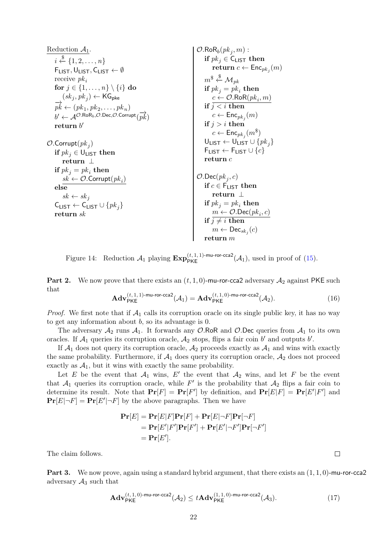| Reduction A <sub>1</sub> .                                               |                                          |
|--------------------------------------------------------------------------|------------------------------------------|
| $i \xleftarrow{\$} \{1, 2, ..., n\}$                                     | $\text{if } pk_j \in \text{Cl_LST}$ then |
| $f_{\text{LIST}}, U_{\text{LIST}}, C_{\text{LIST}} \leftarrow \emptyset$ | $\text{if } pk_j \in \text{Cl_LST}$ then |
| $(sk_j, pk_j) \leftarrow \text{KG}_{\text{pk}}$                          | $m^{\$} \xleftarrow{\$} M_{pk}$          |
| $pk \leftarrow (pk_1, pk_2, ..., pk_n)$                                  | $\text{if } pk_j = pk_i$ then            |
| $(sk_j, pk_j) \leftarrow \text{KG}_{\text{pk}}$                          | $m^{\$} \xleftarrow{\$} M_{pk}$          |
| $Q \xleftarrow{\$CROR}(pk_i, m)$                                         | $\text{if } pk_j = pk_i$ then            |
| $c \leftarrow \text{C} \text{RoR}(pk_i, m)$                              |                                          |
| $c \leftarrow \text{Enc}_{pk_j}(m)$                                      |                                          |
| $c \leftarrow \text{Enc}_{pk_j}(m)$                                      |                                          |
| $c \leftarrow \text{Enc}_{pk_j}(m)$                                      |                                          |
| $c \leftarrow \text{Enc}_{pk_j}(m)$                                      |                                          |
| $c \leftarrow \text{Enc}_{pk_j}(m)$                                      |                                          |
| $c \leftarrow \text{Enc}_{pk_j}(m)$                                      |                                          |
| $c \leftarrow \text{Enc}_{pk_j}(m)$                                      |                                          |
| $c \leftarrow \text{Enc}_{pk_j}(m)$                                      |                                          |
| $c \leftarrow \text{Enc}_{pk_j}(m)$                                      |                                          |
| $c \leftarrow \text{Enc}_{pk_j}(m)$                                      |                                          |
| $c \leftarrow \text{Enc}_{pk_j}(m)$                                      |                                          |
| $c \leftarrow \text{Enc}_{pk_j}(m)$                                      |                                          |

<span id="page-21-0"></span>Figure 14: Reduction  $\mathcal{A}_1$  playing  $\mathbf{Exp}_{\mathsf{PKE}}^{(t,1,1)-\mathsf{mu}-\mathsf{ror-cca2}}(\mathcal{A}_1)$ , used in proof of [\(15\)](#page-20-1).

**Part 2.** We now prove that there exists an  $(t, 1, 0)$ -mu-ror-cca2 adversary  $\mathcal{A}_2$  against PKE such that

$$
\mathbf{Adv}_{\mathsf{PKE}}^{(t,1,1)\text{-}\mathsf{mu}\text{-}\mathsf{ror}\text{-}\mathsf{cca}2}(\mathcal{A}_1) = \mathbf{Adv}_{\mathsf{PKE}}^{(t,1,0)\text{-}\mathsf{mu}\text{-}\mathsf{ror}\text{-}\mathsf{cca}2}(\mathcal{A}_2). \tag{16}
$$

*Proof.* We first note that if  $A_1$  calls its corruption oracle on its single public key, it has no way to get any information about  $b$ , so its advantage is 0.

The adversary  $A_2$  runs  $A_1$ . It forwards any O.RoR and O.Dec queries from  $A_1$  to its own oracles. If  $A_1$  queries its corruption oracle,  $A_2$  stops, flips a fair coin b' and outputs b'.

If  $A_1$  does not query its corruption oracle,  $A_2$  proceeds exactly as  $A_1$  and wins with exactly the same probability. Furthermore, if  $A_1$  does query its corruption oracle,  $A_2$  does not proceed exactly as  $A_1$ , but it wins with exactly the same probability.

Let E be the event that  $A_1$  wins, E' the event that  $A_2$  wins, and let F be the event that  $\mathcal{A}_1$  queries its corruption oracle, while F' is the probability that  $\mathcal{A}_2$  flips a fair coin to determine its result. Note that  $Pr[F] = Pr[F']$  by definition, and  $Pr[E|F] = Pr[E'|F']$  and  $\Pr[E|\neg F] = \Pr[E'|\neg F]$  by the above paragraphs. Then we have

$$
\begin{aligned} \mathbf{Pr}[E] &= \mathbf{Pr}[E|F]\mathbf{Pr}[F] + \mathbf{Pr}[E|\neg F]\mathbf{Pr}[\neg F] \\ &= \mathbf{Pr}[E'|F']\mathbf{Pr}[F'] + \mathbf{Pr}[E'|\neg F']\mathbf{Pr}[\neg F'] \\ &= \mathbf{Pr}[E']. \end{aligned}
$$

The claim follows.

**Part 3.** We now prove, again using a standard hybrid argument, that there exists an  $(1, 1, 0)$ -mu-ror-cca2 adversary  $A_3$  such that

<span id="page-21-1"></span>
$$
\mathbf{Adv}_{\mathsf{PKE}}^{(t,1,0)\text{-}\mathsf{mu}\text{-}\mathsf{ror}\text{-}\mathsf{cca}^2}(\mathcal{A}_2) \leq t\mathbf{Adv}_{\mathsf{PKE}}^{(1,1,0)\text{-}\mathsf{mu}\text{-}\mathsf{ror}\text{-}\mathsf{cca}^2}(\mathcal{A}_3). \tag{17}
$$

 $\Box$